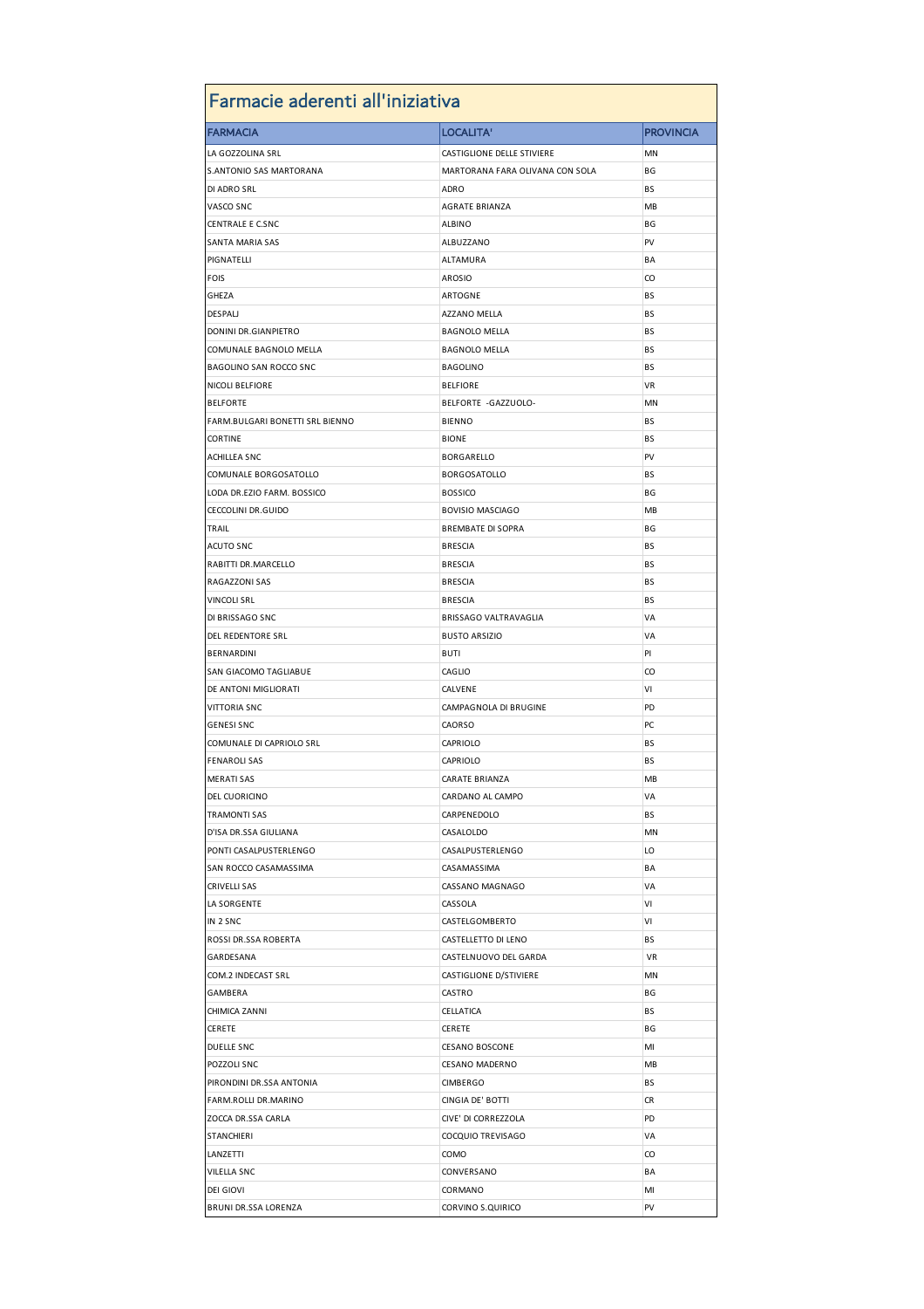| Farmacie aderenti all'iniziativa |                                 |                  |  |
|----------------------------------|---------------------------------|------------------|--|
| <b>FARMACIA</b>                  | LOCALITA'                       | <b>PROVINCIA</b> |  |
| LA GOZZOLINA SRL                 | CASTIGLIONE DELLE STIVIERE      | MN               |  |
| <b>S.ANTONIO SAS MARTORANA</b>   | MARTORANA FARA OLIVANA CON SOLA | ΒG               |  |
| DI ADRO SRL                      | ADRO                            | ВS               |  |
| VASCO SNC                        | <b>AGRATE BRIANZA</b>           | MB               |  |
| <b>CENTRALE E C.SNC</b>          | <b>ALBINO</b>                   | ΒG               |  |
| <b>SANTA MARIA SAS</b>           | ALBUZZANO                       | PV               |  |
| PIGNATELLI                       | ALTAMURA                        | BA               |  |
| <b>FOIS</b>                      | <b>AROSIO</b>                   | CO               |  |
| GHEZA                            | ARTOGNE                         | BS               |  |
| <b>DESPALI</b>                   | AZZANO MELLA                    | BS               |  |
| DONINI DR.GIANPIETRO             | <b>BAGNOLO MELLA</b>            | BS               |  |
| COMUNALE BAGNOLO MELLA           | <b>BAGNOLO MELLA</b>            | ВS               |  |
| <b>BAGOLINO SAN ROCCO SNC</b>    | <b>BAGOLINO</b>                 | BS               |  |
| <b>NICOLI BELFIORE</b>           | <b>BELFIORE</b>                 | VR               |  |
| <b>BELFORTE</b>                  | BELFORTE -GAZZUOLO-             | ΜN               |  |
| FARM.BULGARI BONETTI SRL BIENNO  | <b>BIENNO</b>                   | BS               |  |
| <b>CORTINE</b>                   | <b>BIONE</b>                    | ВS               |  |
| ACHILLEA SNC                     | BORGARELLO                      | PV               |  |
|                                  |                                 | BS               |  |
| COMUNALE BORGOSATOLLO            | <b>BORGOSATOLLO</b>             |                  |  |
| LODA DR.EZIO FARM. BOSSICO       | <b>BOSSICO</b>                  | ΒG               |  |
| CECCOLINI DR.GUIDO               | <b>BOVISIO MASCIAGO</b>         | MВ               |  |
| TRAIL                            | <b>BREMBATE DI SOPRA</b>        | ΒG               |  |
| <b>ACUTO SNC</b>                 | <b>BRESCIA</b>                  | BS               |  |
| RABITTI DR.MARCELLO              | <b>BRESCIA</b>                  | ВS               |  |
| RAGAZZONI SAS                    | <b>BRESCIA</b>                  | BS               |  |
| <b>VINCOLI SRL</b>               | <b>BRESCIA</b>                  | BS               |  |
| DI BRISSAGO SNC                  | BRISSAGO VALTRAVAGLIA           | VA               |  |
| DEL REDENTORE SRL                | <b>BUSTO ARSIZIO</b>            | VA               |  |
| <b>BERNARDINI</b>                | BUTI                            | PI               |  |
| SAN GIACOMO TAGLIABUE            | CAGLIO                          | CO               |  |
| DE ANTONI MIGLIORATI             | CALVENE                         | ٧I               |  |
| <b>VITTORIA SNC</b>              | CAMPAGNOLA DI BRUGINE           | PD               |  |
| <b>GENESI SNC</b>                | CAORSO                          | PC               |  |
| COMUNALE DI CAPRIOLO SRL         | CAPRIOLO                        | BS               |  |
| <b>FENAROLI SAS</b>              | CAPRIOLO                        | ΒS               |  |
| <b>MERATI SAS</b>                | CARATE BRIANZA                  | MB               |  |
| DEL CUORICINO                    | CARDANO AL CAMPO                | VA               |  |
| <b>TRAMONTI SAS</b>              | CARPENEDOLO                     | BS               |  |
| D'ISA DR.SSA GIULIANA            | CASALOLDO                       | MN               |  |
| PONTI CASALPUSTERLENGO           | CASALPUSTERLENGO                | LO               |  |
| SAN ROCCO CASAMASSIMA            | CASAMASSIMA                     | ΒA               |  |
| CRIVELLI SAS                     | CASSANO MAGNAGO                 | VA               |  |
| LA SORGENTE                      | CASSOLA                         | ٧I               |  |
| IN 2 SNC                         | CASTELGOMBERTO                  | VI               |  |
| ROSSI DR.SSA ROBERTA             | CASTELLETTO DI LENO             | ВS               |  |
| GARDESANA                        | CASTELNUOVO DEL GARDA           | VR               |  |
| COM.2 INDECAST SRL               | CASTIGLIONE D/STIVIERE          | ΜN               |  |
| GAMBERA                          | CASTRO                          | ВG               |  |
| CHIMICA ZANNI                    | CELLATICA                       | ВS               |  |
| CERETE                           | CERETE                          | ВG               |  |
| DUELLE SNC                       | <b>CESANO BOSCONE</b>           | MI               |  |
| POZZOLI SNC                      | CESANO MADERNO                  | MВ               |  |
| PIRONDINI DR.SSA ANTONIA         | <b>CIMBERGO</b>                 | ВS               |  |
|                                  |                                 |                  |  |
| FARM.ROLLI DR.MARINO             | CINGIA DE' BOTTI                | CR               |  |
| ZOCCA DR.SSA CARLA               | CIVE' DI CORREZZOLA             | PD               |  |
| STANCHIERI                       | COCQUIO TREVISAGO               | VA               |  |
| LANZETTI                         | COMO                            | CO               |  |
| <b>VILELLA SNC</b>               | CONVERSANO                      | ΒA               |  |
| <b>DEI GIOVI</b>                 | CORMANO                         | MI               |  |
| BRUNI DR.SSA LORENZA             | CORVINO S.QUIRICO               | PV               |  |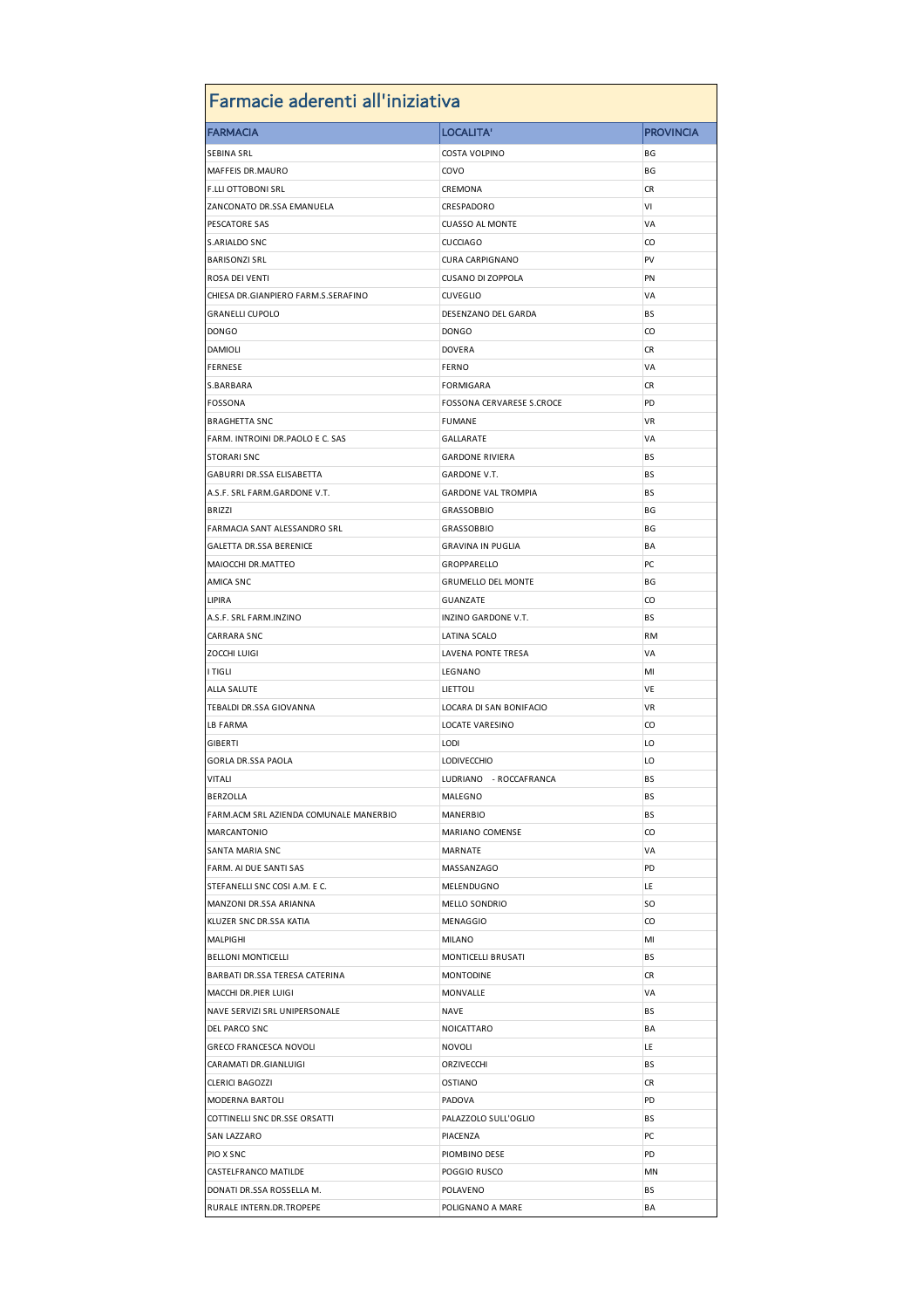| Farmacie aderenti all'iniziativa       |                            |                  |  |  |
|----------------------------------------|----------------------------|------------------|--|--|
| <b>FARMACIA</b>                        | LOCALITA'                  | <b>PROVINCIA</b> |  |  |
| <b>SEBINA SRL</b>                      | COSTA VOLPINO              | ΒG               |  |  |
| MAFFEIS DR.MAURO                       | COVO                       | ΒG               |  |  |
| <b>F.LLI OTTOBONI SRL</b>              | CREMONA                    | CR               |  |  |
| ZANCONATO DR.SSA EMANUELA              | CRESPADORO                 | ٧I               |  |  |
| PESCATORE SAS                          | <b>CUASSO AL MONTE</b>     | VA               |  |  |
| S.ARIALDO SNC                          | <b>CUCCIAGO</b>            | CO               |  |  |
| <b>BARISONZI SRL</b>                   | <b>CURA CARPIGNANO</b>     | PV               |  |  |
| ROSA DEI VENTI                         | CUSANO DI ZOPPOLA          | PN               |  |  |
| CHIESA DR.GIANPIERO FARM.S.SERAFINO    | <b>CUVEGLIO</b>            | VA               |  |  |
| <b>GRANELLI CUPOLO</b>                 | DESENZANO DEL GARDA        | ВS               |  |  |
| <b>DONGO</b>                           | <b>DONGO</b>               | CO               |  |  |
| <b>DAMIOLI</b>                         | <b>DOVERA</b>              | CR               |  |  |
| <b>FERNESE</b>                         | <b>FERNO</b>               | VA               |  |  |
| S.BARBARA                              | FORMIGARA                  | CR               |  |  |
| <b>FOSSONA</b>                         | FOSSONA CERVARESE S.CROCE  | PD               |  |  |
| <b>BRAGHETTA SNC</b>                   | <b>FUMANE</b>              | VR               |  |  |
| FARM. INTROINI DR.PAOLO E C. SAS       | GALLARATE                  | VA               |  |  |
| <b>STORARI SNC</b>                     | <b>GARDONE RIVIERA</b>     | BS               |  |  |
| GABURRI DR.SSA ELISABETTA              | GARDONE V.T.               | ВS               |  |  |
| A.S.F. SRL FARM.GARDONE V.T.           | <b>GARDONE VAL TROMPIA</b> | ВS               |  |  |
| <b>BRIZZI</b>                          | <b>GRASSOBBIO</b>          | ΒG               |  |  |
| FARMACIA SANT ALESSANDRO SRL           | <b>GRASSOBBIO</b>          | ΒG               |  |  |
| <b>GALETTA DR.SSA BERENICE</b>         | <b>GRAVINA IN PUGLIA</b>   | ΒA               |  |  |
| MAIOCCHI DR.MATTEO                     | GROPPARELLO                | PC               |  |  |
| AMICA SNC                              | <b>GRUMELLO DEL MONTE</b>  | ΒG               |  |  |
| <b>LIPIRA</b>                          |                            |                  |  |  |
|                                        | GUANZATE                   | CO               |  |  |
| A.S.F. SRL FARM.INZINO                 | INZINO GARDONE V.T.        | BS               |  |  |
| <b>CARRARA SNC</b>                     | LATINA SCALO               | RM<br>VA         |  |  |
| <b>ZOCCHI LUIGI</b>                    | LAVENA PONTE TRESA         | MI               |  |  |
| I TIGLI                                | LEGNANO                    |                  |  |  |
| <b>ALLA SALUTE</b>                     | LIETTOLI                   | VE               |  |  |
| TEBALDI DR.SSA GIOVANNA                | LOCARA DI SAN BONIFACIO    | VR               |  |  |
| LB FARMA                               | <b>LOCATE VARESINO</b>     | CO               |  |  |
| <b>GIBERTI</b>                         | LODI                       | LO               |  |  |
| <b>GORLA DR.SSA PAOLA</b>              | <b>LODIVECCHIO</b>         | LO               |  |  |
| <b>VITALI</b>                          | LUDRIANO - ROCCAFRANCA     | BS               |  |  |
| BERZOLLA                               | MALEGNO                    | ВS               |  |  |
| FARM.ACM SRL AZIENDA COMUNALE MANERBIO | MANERBIO                   | BS               |  |  |
| <b>MARCANTONIO</b>                     | MARIANO COMENSE            | CO               |  |  |
| SANTA MARIA SNC                        | MARNATE                    | VA               |  |  |
| FARM. AI DUE SANTI SAS                 | MASSANZAGO                 | PD               |  |  |
| STEFANELLI SNC COSI A.M. E C.          | MELENDUGNO                 | LE               |  |  |
| MANZONI DR.SSA ARIANNA                 | MELLO SONDRIO              | <b>SO</b>        |  |  |
| KLUZER SNC DR.SSA KATIA                | MENAGGIO                   | CO               |  |  |
| <b>MALPIGHI</b>                        | <b>MILANO</b>              | MI               |  |  |
| <b>BELLONI MONTICELLI</b>              | MONTICELLI BRUSATI         | ВS               |  |  |
| BARBATI DR.SSA TERESA CATERINA         | <b>MONTODINE</b>           | CR               |  |  |
| MACCHI DR.PIER LUIGI                   | MONVALLE                   | VA               |  |  |
| NAVE SERVIZI SRL UNIPERSONALE          | NAVE                       | BS               |  |  |
| DEL PARCO SNC                          | NOICATTARO                 | ΒA               |  |  |
| <b>GRECO FRANCESCA NOVOLI</b>          | <b>NOVOLI</b>              | LE               |  |  |
| CARAMATI DR.GIANLUIGI                  | ORZIVECCHI                 | BS               |  |  |
| <b>CLERICI BAGOZZI</b>                 | OSTIANO                    | CR               |  |  |
| MODERNA BARTOLI                        | PADOVA                     | PD               |  |  |
| COTTINELLI SNC DR.SSE ORSATTI          | PALAZZOLO SULL'OGLIO       | ВS               |  |  |
| SAN LAZZARO                            | PIACENZA                   | PC               |  |  |
| PIO X SNC                              | PIOMBINO DESE              | PD               |  |  |
| CASTELFRANCO MATILDE                   | POGGIO RUSCO               | MN               |  |  |
| DONATI DR.SSA ROSSELLA M.              | POLAVENO                   | ВS               |  |  |
| RURALE INTERN.DR.TROPEPE               | POLIGNANO A MARE           | ΒA               |  |  |